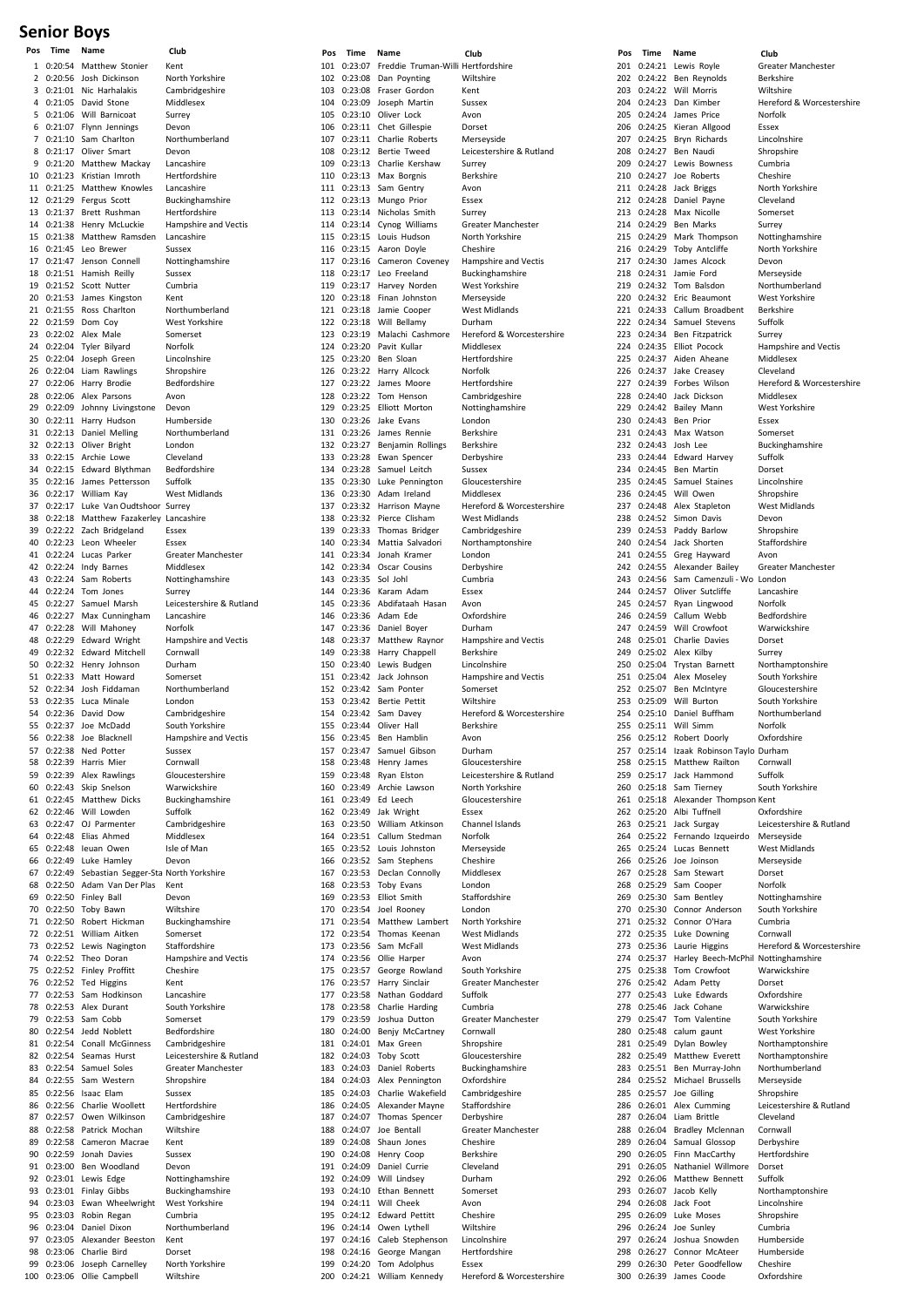## **Senior Boys**

| 1  |         | ישמוופ                                          | <b>CIUD</b>                       |
|----|---------|-------------------------------------------------|-----------------------------------|
|    |         | 0:20:54 Matthew Stonier                         | Kent                              |
| 2  |         | 0:20:56 Josh Dickinson                          | North Yorkshire                   |
|    |         | 3 0:21:01 Nic Harhalakis                        | Cambridgeshire                    |
|    |         | 4 0:21:05 David Stone                           | Middlesex                         |
| 5  |         | 0:21:06 Will Barnicoat                          | Surrey                            |
| 6  |         | 0:21:07 Flynn Jennings                          | Devon                             |
| 7  |         | 0:21:10 Sam Charlton                            | Northumberland                    |
| 8  |         | 0:21:17 Oliver Smart                            | Devon                             |
| 9  |         | 0:21:20 Matthew Mackay                          | Lancashire                        |
| 10 |         | 0:21:23 Kristian Imroth                         | Hertfordshire                     |
|    |         | 11 0:21:25 Matthew Knowles                      | Lancashire                        |
|    |         | 12 0:21:29 Fergus Scott                         | Buckinghamshire                   |
|    |         | 13 0:21:37 Brett Rushman                        | Hertfordshire                     |
|    |         | 14 0:21:38 Henry McLuckie                       | Hampshire and Vectis              |
| 15 |         | 0:21:38 Matthew Ramsden                         | Lancashire                        |
| 16 |         | 0:21:45 Leo Brewer                              | Sussex                            |
|    |         | 17 0:21:47 Jenson Connell                       | Nottinghamshire                   |
| 18 |         | 0:21:51 Hamish Reilly                           | Sussex                            |
|    |         | 19 0:21:52 Scott Nutter                         | Cumbria                           |
|    |         | 20 0:21:53 James Kingston                       | Kent                              |
| 21 |         | 0:21:55 Ross Charlton                           | Northumberland                    |
|    |         | 22 0:21:59 Dom Coy                              | West Yorkshire                    |
|    |         | 23 0:22:02 Alex Male                            | Somerset                          |
|    |         | 24 0:22:04 Tyler Bilyard                        | Norfolk                           |
| 25 |         | 0:22:04 Joseph Green                            | Lincolnshire                      |
| 26 |         | 0:22:04 Liam Rawlings                           | Shropshire                        |
| 27 |         | 0:22:06 Harry Brodie                            | Bedfordshire                      |
|    |         | 28 0:22:06 Alex Parsons                         | Avon                              |
| 29 |         | 0:22:09 Johnny Livingstone                      | Devon                             |
|    |         | 30 0:22:11 Harry Hudson                         | Humberside                        |
|    |         | 31 0:22:13 Daniel Melling                       | Northumberland                    |
|    |         | 32 0:22:13 Oliver Bright                        | London                            |
|    |         | 33 0:22:15 Archie Lowe                          | Cleveland                         |
|    |         | 34 0:22:15 Edward Blythman                      | Bedfordshire                      |
|    |         | 35 0:22:16 James Pettersson                     | Suffolk                           |
| 36 |         | 0:22:17 William Kay                             | <b>West Midlands</b>              |
| 37 |         | 0:22:17 Luke Van Oudtshoor Surrey               |                                   |
|    |         | 38 0:22:18 Matthew Fazakerley Lancashire        |                                   |
| 39 |         | 0:22:22 Zach Bridgeland                         | Essex                             |
| 40 |         | 0:22:23 Leon Wheeler                            | Essex                             |
| 41 |         | 0:22:24 Lucas Parker                            | Greater Manchester                |
| 42 |         | 0:22:24 Indy Barnes                             | Middlesex                         |
|    |         | 43 0:22:24 Sam Roberts                          | Nottinghamshire                   |
|    |         | 44 0:22:24 Tom Jones                            | Surrey                            |
| 45 |         | 0:22:27 Samuel Marsh                            | Leicestershire & Rutland          |
| 46 |         |                                                 | Lancashire                        |
| 47 |         | 0:22:27 Max Cunningham<br>0:22:28 Will Mahoney  |                                   |
|    |         | 0:22:29 Edward Wright                           | Norfolk                           |
| 48 |         |                                                 | Hampshire and Vectis              |
|    |         | 49 0:22:32 Edward Mitchell                      | Cornwall                          |
| 50 |         | 0:22:32 Henry Johnson<br>51 0:22:33 Matt Howard | Durham<br>Somerset                |
|    |         | 52 0:22:34 Josh Fiddaman                        |                                   |
| 53 |         | 0:22:35 Luca Minale                             | Northumberland                    |
|    |         | 54 0:22:36 David Dow                            | London                            |
| 55 |         |                                                 | Cambridgeshire<br>South Yorkshire |
|    |         | 0:22:37 Joe McDadd                              |                                   |
| 56 |         | 0:22:38 Joe Blacknell                           | Hampshire and Vectis              |
| 58 |         | 57 0:22:38 Ned Potter                           | Sussex                            |
|    |         | 0:22:39 Harris Mier                             | Cornwall                          |
|    |         |                                                 | Gloucestershire                   |
|    |         | 59 0:22:39 Alex Rawlings                        |                                   |
|    |         | 60 0:22:43 Skip Snelson                         | Warwickshire                      |
| 61 |         | 0:22:45 Matthew Dicks                           | Buckinghamshire                   |
| 62 |         | 0:22:46 Will Lowden                             | Suffolk                           |
| 63 |         | 0:22:47 OJ Parmenter                            | Cambridgeshire                    |
|    |         | 64 0:22:48 Elias Ahmed                          | Middlesex                         |
| 65 |         | 0:22:48 leuan Owen                              | Isle of Man                       |
| 66 |         | 0:22:49 Luke Hamley                             | Devon                             |
| 67 |         | 0:22:49 Sebastian Segger-Sta North Yorkshire    |                                   |
| 68 |         | 0:22:50 Adam Van Der Plas                       | Kent                              |
| 69 |         | 0:22:50 Finley Ball                             | Devon                             |
| 70 |         | 0:22:50 Toby Bawn                               | Wiltshire                         |
| 71 |         | 0:22:50 Robert Hickman                          | Buckinghamshire                   |
| 72 |         | 0:22:51 William Aitken                          | Somerset                          |
|    |         | 73 0:22:52 Lewis Nagington                      | Staffordshire                     |
| 74 | 0:22:52 | Theo Doran                                      | Hampshire and Vectis              |
| 75 |         | 0:22:52 Finley Proffitt                         | Cheshire                          |
| 76 |         | 0:22:52 Ted Higgins                             | Kent                              |
| 77 |         | 0:22:53 Sam Hodkinson                           | Lancashire                        |
| 78 |         | 0:22:53 Alex Durant                             | South Yorkshire                   |
| 79 |         | 0:22:53 Sam Cobb                                | Somerset                          |
| 80 |         | 0:22:54 Jedd Noblett                            | Bedfordshire                      |
| 81 |         | 0:22:54 Conall McGinness                        | Cambridgeshire                    |
| 82 |         | 0:22:54 Seamas Hurst                            | Leicestershire & Rutland          |
|    |         | 83 0:22:54 Samuel Soles                         | Greater Manchester                |
|    |         | 84 0:22:55 Sam Western                          | Shropshire                        |
| 85 |         | 0:22:56 Isaac Elam                              | Sussex                            |
| 86 |         | 0:22:56 Charlie Woollett                        | Hertfordshire                     |
| 87 |         | 0:22:57 Owen Wilkinson                          | Cambridgeshire                    |
| 88 |         | 0:22:58 Patrick Mochan                          | Wiltshire                         |
| 89 |         | 0:22:58 Cameron Macrae                          | Kent                              |
| 90 |         | 0:22:59 Jonah Davies                            | Sussex                            |
| 91 |         | 0:23:00 Ben Woodland                            | Devon                             |
|    |         | 92 0:23:01 Lewis Edge                           | Nottinghamshire                   |
| 93 |         | 0:23:01 Finlay Gibbs                            | Buckinghamshire                   |
|    |         | 94 0:23:03 Ewan Wheelwright                     | West Yorkshire                    |
| 95 |         | 0:23:03 Robin Regan                             | Cumbria                           |
| 96 |         | 0:23:04 Daniel Dixon                            | Northumberland                    |
| 97 |         | 0:23:05 Alexander Beeston                       | Kent                              |
| 98 |         | 0:23:06 Charlie Bird                            | Dorset                            |
| 99 |         | 0:23:06 Joseph Carnelley                        | North Yorkshire                   |

|            |             | 101 0:23:07 Freddie Truman-Willi Hertfordshire             | uuw                                                   |
|------------|-------------|------------------------------------------------------------|-------------------------------------------------------|
|            |             | 102 0:23:08 Dan Poynting                                   | Wiltshire                                             |
|            |             | 103 0:23:08 Fraser Gordon                                  | Kent                                                  |
|            |             | 104 0:23:09 Joseph Martin                                  | Sussex                                                |
|            |             | 105 0:23:10 Oliver Lock                                    | Avon                                                  |
|            |             | 106 0:23:11 Chet Gillespie                                 | Dorset                                                |
|            |             | 107 0:23:11 Charlie Roberts                                | Merseyside                                            |
|            |             | 108 0:23:12 Bertie Tweed                                   | Leicestershire & Rutland                              |
|            |             | 109 0:23:13 Charlie Kershaw                                | Surrey                                                |
|            |             | 110 0:23:13 Max Borgnis                                    | Berkshire                                             |
|            |             | 111 0:23:13 Sam Gentry                                     | Avon                                                  |
|            |             | 112 0:23:13 Mungo Prior                                    | Essex                                                 |
|            |             | 113 0:23:14 Nicholas Smith<br>114 0:23:14 Cynog Williams   | Surrey<br>Greater Manchester                          |
|            |             | 115 0:23:15 Louis Hudson                                   | North Yorkshire                                       |
|            |             | 116 0:23:15 Aaron Doyle                                    | Cheshire                                              |
|            |             | 117 0:23:16 Cameron Coveney                                | Hampshire and Vectis                                  |
|            |             | 118 0:23:17 Leo Freeland                                   | Buckinghamshire                                       |
|            |             | 119 0:23:17 Harvey Norden                                  | West Yorkshire                                        |
|            |             | 120 0:23:18 Finan Johnston                                 | Merseyside                                            |
|            |             | 121 0:23:18 Jamie Cooper                                   | <b>West Midlands</b>                                  |
|            |             | 122 0:23:18 Will Bellamy                                   | Durham                                                |
|            |             | 123 0:23:19 Malachi Cashmore                               | Hereford & Worcestershire                             |
|            |             | 124 0:23:20 Pavit Kullar                                   | Middlesex                                             |
|            |             | 125 0:23:20 Ben Sloan                                      | Hertfordshire<br>Norfolk                              |
|            |             | 126 0:23:22 Harry Allcock<br>127 0:23:22 James Moore       | Hertfordshire                                         |
|            |             | 128 0:23:22 Tom Henson                                     | Cambridgeshire                                        |
|            |             | 129 0:23:25 Elliott Morton                                 | Nottinghamshire                                       |
|            |             | 130 0:23:26 Jake Evans                                     | London                                                |
|            |             | 131 0:23:26 James Rennie                                   | Berkshire                                             |
|            |             | 132 0:23:27 Benjamin Rollings                              | Berkshire                                             |
|            |             | 133 0:23:28 Ewan Spencer                                   | Derbyshire                                            |
|            |             | 134 0:23:28 Samuel Leitch                                  | Sussex                                                |
|            |             | 135 0:23:30 Luke Pennington                                | Gloucestershire                                       |
|            |             | 136 0:23:30 Adam Ireland                                   | Middlesex                                             |
|            |             | 137 0:23:32 Harrison Mayne                                 | Hereford & Worcestershire                             |
|            |             | 138 0:23:32 Pierce Clisham                                 | West Midlands                                         |
|            |             | 139 0:23:33 Thomas Bridger<br>140 0:23:34 Mattia Salvadori | Cambridgeshire                                        |
|            |             | 141 0:23:34 Jonah Kramer                                   | Northamptonshire<br>London                            |
|            |             | 142 0:23:34 Oscar Cousins                                  | Derbyshire                                            |
|            | 143 0:23:35 | Sol Johl                                                   | Cumbria                                               |
|            |             | 144 0:23:36 Karam Adam                                     | Essex                                                 |
|            |             | 145 0:23:36 Abdifataah Hasan                               | Avon                                                  |
|            |             | 146 0:23:36 Adam Ede                                       | Oxfordshire                                           |
|            |             | 147 0:23:36 Daniel Boyer                                   | Durham                                                |
|            |             | 148 0:23:37 Matthew Raynor                                 | Hampshire and Vectis                                  |
|            |             | 149 0:23:38 Harry Chappell                                 | Berkshire                                             |
|            |             | 150 0:23:40 Lewis Budgen                                   | Lincolnshire                                          |
|            |             | 151 0:23:42 Jack Johnson                                   | Hampshire and Vectis                                  |
|            |             | 152 0:23:42 Sam Ponter<br>153 0:23:42 Bertie Pettit        | Somerset<br>Wiltshire                                 |
|            |             | 154 0:23:42 Sam Davey                                      | Hereford & Worcestershire                             |
|            |             | 155 0:23:44 Oliver Hall                                    | Berkshire                                             |
| 156        |             | 0:23:45 Ben Hamblin                                        | Avon                                                  |
|            |             | 157 0:23:47 Samuel Gibson                                  | Durham                                                |
| 158        |             | 0:23:48 Henry James                                        | Gloucestershire                                       |
| 159        |             | 0:23:48 Ryan Elston                                        | Leicestershire & Rutland                              |
|            |             | 160 0:23:49 Archie Lawson                                  | North Yorkshire                                       |
|            |             | 161 0:23:49 Ed Leech                                       | Gloucestershire                                       |
|            |             | 162 0:23:49 Jak Wright                                     | Essex                                                 |
|            |             | 163 0:23:50 William Atkinson                               | Channel Islands                                       |
|            | 164 0:23:51 | Callum Stedman                                             | Norfolk                                               |
|            |             | 165 0:23:52 Louis Johnston<br>Sam Stephens                 | Merseyside<br>Cheshire                                |
| 166<br>167 | 0:23:52     |                                                            |                                                       |
|            |             | 0:23:53 Declan Connolly<br>168 0:23:53 Toby Evans          | Middlesex<br>London                                   |
| 169        |             | 0:23:53 Elliot Smith                                       | Staffordshire                                         |
|            |             | 170 0:23:54 Joel Rooney                                    | London                                                |
|            |             | 171 0:23:54 Matthew Lambert                                | North Yorkshire                                       |
| 172        | 0:23:54     | Thomas Keenan                                              | West Midlands                                         |
|            | 173 0:23:56 | Sam McFall                                                 | <b>West Midlands</b>                                  |
|            | 174 0:23:56 | Ollie Harper                                               | Avon                                                  |
|            |             | 175 0:23:57 George Rowland                                 | South Yorkshire                                       |
|            | 176 0:23:57 | Harry Sinclair                                             | Greater Manchester                                    |
| 177        |             | 0:23:58 Nathan Goddard                                     | Suffolk                                               |
|            |             | 178 0:23:58 Charlie Harding                                | Cumbria                                               |
|            | 179 0:23:59 | Joshua Dutton<br>180 0:24:00 Benjy McCartney               | Greater Manchester<br>Cornwall                        |
|            |             | 181 0:24:01 Max Green                                      | Shropshire                                            |
|            | 182 0:24:03 | Toby Scott                                                 | Gloucestershire                                       |
|            |             | 183 0:24:03 Daniel Roberts                                 | Buckinghamshire                                       |
|            |             | 184 0:24:03 Alex Pennington                                | Oxfordshire                                           |
|            |             | 185 0:24:03 Charlie Wakefield                              | Cambridgeshire                                        |
|            |             | 186 0:24:05 Alexander Mayne                                | Staffordshire                                         |
|            |             | 187 0:24:07 Thomas Spencer                                 | Derbyshire                                            |
| 188        | 0:24:07     | Joe Bentall                                                | Greater Manchester                                    |
|            | 189 0:24:08 | Shaun Jones                                                | Cheshire                                              |
|            |             | 190 0:24:08 Henry Coop                                     | Berkshire                                             |
|            |             | 191 0:24:09 Daniel Currie                                  | Cleveland                                             |
|            |             | 192 0:24:09 Will Lindsey                                   | Durham                                                |
|            |             | 193 0:24:10 Ethan Bennett<br>194 0:24:11 Will Cheek        | Somerset                                              |
|            | 195 0:24:12 | <b>Edward Pettitt</b>                                      | Avon<br>Cheshire                                      |
| 196        |             | 0:24:14 Owen Lythell                                       | Wiltshire                                             |
|            |             | 197 0:24:16 Caleb Stephenson                               | Lincolnshire                                          |
|            |             | 198 0:24:16 George Mangan                                  | Hertfordshire                                         |
|            | 199 0:24:20 | Tom Adolphus                                               | Essex                                                 |
|            |             |                                                            | 200 0:24:21 William Kennedy Hereford & Worcestershire |

| lub<br>ertfordshire                  |
|--------------------------------------|
| iltshire                             |
| 'nt                                  |
| ssex<br>'on                          |
| orset                                |
| erseyside                            |
| icestershire & Rutland<br>rrey       |
| rkshire                              |
| 'on                                  |
| sex<br>rrey                          |
| eater Manchester                     |
| orth Yorkshire                       |
| eshire                               |
| mpshire and Vectis<br>ickinghamshire |
| est Yorkshire                        |
| erseyside                            |
| est Midlands<br>ırham                |
| ereford & Worcestershire             |
| iddlesex                             |
| ertfordshire<br>orfolk               |
| ertfordshire                         |
| mbridgeshire                         |
| ottinghamshire                       |
| ndon<br>rkshire                      |
| rkshire                              |
| erbyshire                            |
| ssex<br>oucestershire                |
| iddlesex                             |
| ereford & Worcestershire             |
| est Midlands                         |
| mbridgeshire<br>orthamptonshire      |
| ndon                                 |
| erbyshire                            |
| ımbria<br>sex                        |
| 'on                                  |
| rfordshire                           |
| ırham                                |
| mpshire and Vectis<br>rkshire        |
| <b>colnshire</b>                     |
| mpshire and Vectis                   |
| merset<br>iltshire                   |
| ereford & Worcestershire             |
| rkshire                              |
| 'on<br>ırham                         |
| oucestershire                        |
| icestershire & Rutland               |
| orth Yorkshire                       |
| oucestershire<br>sex                 |
| annel Islands                        |
| orfolk                               |
| erseyside<br>eshire                  |
| iddlesex                             |
| ndon                                 |
| affordshire<br>ndon                  |
| orth Yorkshire                       |
| est Midlands                         |
| est Midlands                         |
| 'on<br>uth Yorkshire                 |
| eater Manchester                     |
| ffolk                                |
| ımbria<br>eater Manchester           |
| rnwall                               |
| ropshire                             |
| oucestershire<br>ıckinghamshire      |
| (fordshire                           |
| mbridgeshire                         |
| affordshire<br>erbyshire             |
| eater Manchester                     |
| ıeshire                              |
| rkshire                              |
| eveland<br>ırham                     |
| merset                               |
| 'on                                  |
| ıeshire<br>iltshire                  |
| <b>ncolnshire</b>                    |
| ertfordshire                         |
| sex<br>reford & Worcestershire       |
|                                      |

**Pos Time Name Club Pos Time Name Club Pos Time Name Club** 201 0:24:21 Lewis Royle Greater Manchester<br>202 0:24:22 Ben Reynolds Berkshire 202 Ben Reynolds Berkshire<br>2021 Will Morris Berkshire  $203 \quad 0:24:22$ 204 0:24:23 Dan Kimber Hereford & Worcestershire<br>205 0:24:24 James Price Norfolk 205 0:24:24 James Price Morfolk<br>206 0:24:25 Kieran Allgood Essex 206 0:24:25 Kieran Allgood Essex<br>207 0:24:25 Bryn Richards Lincolnshire Bryn Richards Lincolnshir<br>207 Ben Naudi Shropshire 208 0:24:27 Ben Naudi 0:24:27 Lewis Bowness Cumbria 210 0:24:27 Joe Roberts Cheshire<br>211 0:24:28 Jack Briggs North Yo 211 0:24:28 Jack Briggs North Yorkshire<br>212 0:24:28 Daniel Payne Cleveland Daniel Payne Cleveland<br>
Max Nicolle Somerset 0:24:28 Max Nicolle 214 0:24:29 Ben Marks Surrey<br>215 0:24:29 Mark Thompson Nottinghamshire 215 0:24:29 Mark Thompson<br>216 0:24:29 Toby Antcliffe Toby Antcliffe North Yorkshire<br>
James Alcock Devon 217 0:24:30 James Alcock Devon<br>218 0:24:31 Jamie Ford Merseyside 218 0:24:31 0:24:32 Tom Balsdon Northumberland 220 0:24:32 Eric Beaumont West Yorkshire<br>221 0:24:33 Callum Broadbent Berkshire 221 0:24:33 Callum Broadbent Berksh<br>222 0:24:34 Samuel Stevens Suffolk 222 0:24:34 Samuel Stevens Suffolk<br>223 0:24:34 Ben Fitzpatrick Surrey 223 Ben Fitzpatrick Surrey<br>2011 - Elliot Pocock Hampshire and Vectis 224 0:24:35 Elliot Pocock 225 0:24:37 Aiden Aheane Middlesex<br>226 0:24:37 Jake Creasev Cleveland 226 0:24:37 Jake Creasey<br>227 0:24:39 Forbes Wilson 2227 12222 Forbes Wilson<br>
Hereford & Worcestershire<br>
Jack Dickson Middlesex 228 0:24:40 0:24:42 Bailey Mann West Yorkshire 230 0:24:43 Ben Prior Essex<br>231 0:24:43 Max Watson Somerset 231 0:24:43 Max Watson<br>232 0:24:43 Josh Lee 232 0:24:43 Josh Lee Buckinghamshire<br>233 0:24:44 Edward Harvey Suffolk 23 Edward Harvey Suffolk<br>23 Ben Martin Borset 234 0:24:45 0:24:45 Samuel Staines Lincolnshire 0:24:45 Will Owen Shropshire 237 0:24:48 Alex Stapleton West Midlands<br>238 0:24:52 Simon Davis Devon 238 0:24:52 Simon Davis Devon<br>239 0:24:53 Paddy Barlow Shronshire Paddy Barlow 240 0:24:54 Jack Shorten Staffordshire<br>241 0:24:55 Greg Havward Avon 241 0:24:55 Greg Hayward Avon<br>242 0:24:55 Alexander Bailey Great 242 0:24:55 Alexander Bailey Greater Manchester<br>243 0:24:56 Sam Camenzuli - Wo London 0:24:56 Sam Camenzuli - Wo London Oliver Sutcliffe 0:24:57 Ryan Lingwood Norfolk 246 0:24:59 Callum Webb Bedfordshire 247 0:24:59 Will Crowfoot Warwickshire<br>248 0:25:01 Charlie Davies Dorset 248 0:25:01 Charlie Davies Dorset<br>249 0:25:02 Alex Kilby Surrey Alex Kilby 250 0:25:04 Trystan Barnett Northamptonshire<br>251 0:25:04 Alex Moseley South Yorkshire 251 0:25:04 Alex Moseley South Yorkshire<br>252 0:25:07 Ben McIntyre Gloucestershire 252 0:25:07 Ben McIntyre Gloucestershire<br>253 0:25:09 Will Burton South Yorkshire 253 0:25:09 Will Burton South Yorkshire<br>254 0:25:10 Daniel Buffham Northumberland Daniel Buffham Northumberland<br>
Will Simm Norfolk 255 0:25:11 0:25:12 Robert Doorly Oxfordshire 257 0:25:14 Izaak Robinson Taylo Durham<br>258 0:25:15 Matthew Railton Cornwal 258 0:25:15 Matthew Railton Cornwall<br>259 0:25:17 Jack Hammond Suffolk Jack Hammond Suffolk<br>25 Sam Tierney South Yorkshire 260 0:25:18 Sam Tierney 0:25:18 Alexander Thompson Kent 262 0:25:20 Albi Tuffnell Oxfordshire<br>263 0:25:21 Jack Surgay Leicestershi 0:25:21 Jack Surgay Leicestershire & Rutland 264 0:25:22 Fernando Izqueirdo Merseyside<br>265 0:25:24 Lucas Bennett West Midlar 0:25:26 Joe Joinson Merseyside 267 0:25:28 Sam Stewart Dorset<br>268 0:25:29 Sam Cooper Norfolk 268 0:25:29 Sam Cooper<br>269 0:25:30 Sam Bentlev 269 0:25:30 Sam Bentley Mottinghamshire<br>270 0:25:30 Connor Anderson South Yorkshire 270 0:25:30 Connor Anderson South Yo Connor O'Hara 272 0:25:35 Luke Downing Cornwall<br>273 0:25:36 Laurie Higgins Hereford 273 0:25:36 Laurie Higgins Hereford & Worcestershire<br>274 0:25:37 Harley Beech-McPhil Nottinghamshire 274 0:25:37 Harley Beech-McPhil Nottinghamshire<br>275 0:25:38 Tom Crowfoot Warwickshire Tom Crowfoot 0:25:42 Adam Petty Dorset 277 0:25:43 Luke Edwards Oxfordshire<br>278 0:25:46 Jack Cohane Warwickshire 278 0:25:46 Jack Cohane Warwickshire<br>279 0:25:47 Tom Valentine South Yorkshire 279 0:25:47 Tom Valentine South Yorkshire<br>280 0:25:48 calum gaunt West Yorkshire 280 0:25:48 calum gaunt<br>281 0:25:49 Dylan Bowley 0:25:49 Matthew Everett Northamptonshire 283 0:25:51 Ben Murray-John Northumberland<br>284 0:25:52 Michael Brussells Merseyside Michael Brussells Merseysid<br>Joe Gilling Shropshire 285 0:25:57 Joe Gilling<br>286 0:26:01 Alex Cumming 0:26:01 Alex Cumming Leicestershire & Rutland 287 0:26:04 Liam Brittle Cleveland<br>288 0:26:04 Bradlev Mclennan Cornwall 288 0:26:04 Bradley Mclennan Cornwall<br>289 0:26:04 Samual Glossop Derbyshire Samual Glossop Derbyshire<br>Finn MacCarthy Hertfordshire 290 0:26:05 Finn MacCarthy Hertfor<br>291 0:26:05 Nathaniel Willmore Dorset Nathaniel Willmore 0:26:06 Matthew Bennett Suffolk 293 0:26:07 Jacob Kelly Northamptonshire<br>294 0:26:08 Jack Foot Lincolnshire Jack Foot Lincolnshire<br>29 Luke Moses Shropshire 295 0:26:09 0:26:24 Joe Sunley Cumbria 0:26:24 Joshua Snowden Humberside 298 0:26:27 Connor McAteer Humberside<br>299 0:26:30 Peter Goodfellow Cheshire 299 0:26:30 Peter Goodfellow Cheshire<br>300 0:26:39 James Coode Oxfordshire 300 0:26:39 James Coode

West Midlands Northamptonshire